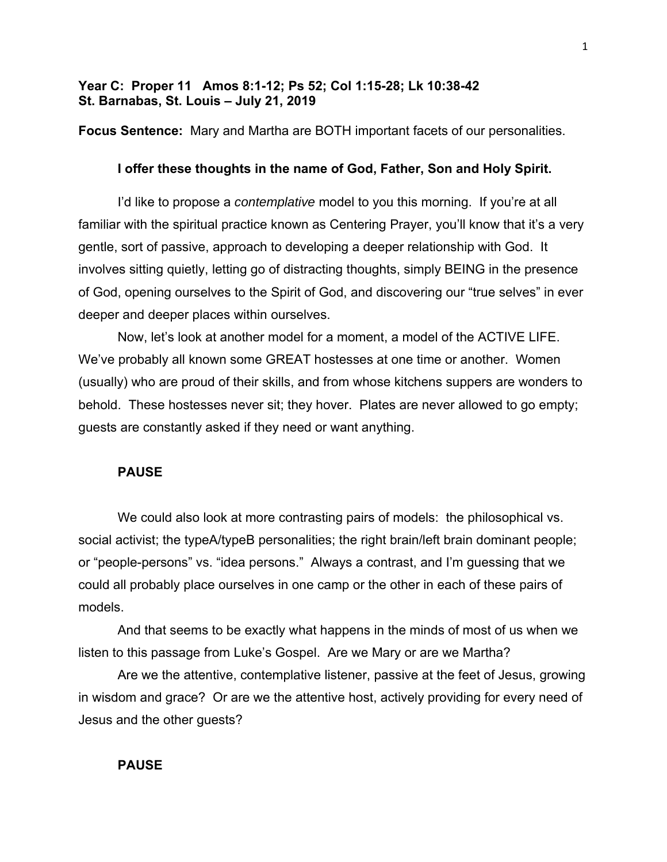# **Year C: Proper 11 Amos 8:1-12; Ps 52; Col 1:15-28; Lk 10:38-42 St. Barnabas, St. Louis – July 21, 2019**

**Focus Sentence:** Mary and Martha are BOTH important facets of our personalities.

## **I offer these thoughts in the name of God, Father, Son and Holy Spirit.**

I'd like to propose a *contemplative* model to you this morning. If you're at all familiar with the spiritual practice known as Centering Prayer, you'll know that it's a very gentle, sort of passive, approach to developing a deeper relationship with God. It involves sitting quietly, letting go of distracting thoughts, simply BEING in the presence of God, opening ourselves to the Spirit of God, and discovering our "true selves" in ever deeper and deeper places within ourselves.

Now, let's look at another model for a moment, a model of the ACTIVE LIFE. We've probably all known some GREAT hostesses at one time or another. Women (usually) who are proud of their skills, and from whose kitchens suppers are wonders to behold. These hostesses never sit; they hover. Plates are never allowed to go empty; guests are constantly asked if they need or want anything.

## **PAUSE**

We could also look at more contrasting pairs of models: the philosophical vs. social activist; the typeA/typeB personalities; the right brain/left brain dominant people; or "people-persons" vs. "idea persons." Always a contrast, and I'm guessing that we could all probably place ourselves in one camp or the other in each of these pairs of models.

And that seems to be exactly what happens in the minds of most of us when we listen to this passage from Luke's Gospel. Are we Mary or are we Martha?

Are we the attentive, contemplative listener, passive at the feet of Jesus, growing in wisdom and grace? Or are we the attentive host, actively providing for every need of Jesus and the other guests?

### **PAUSE**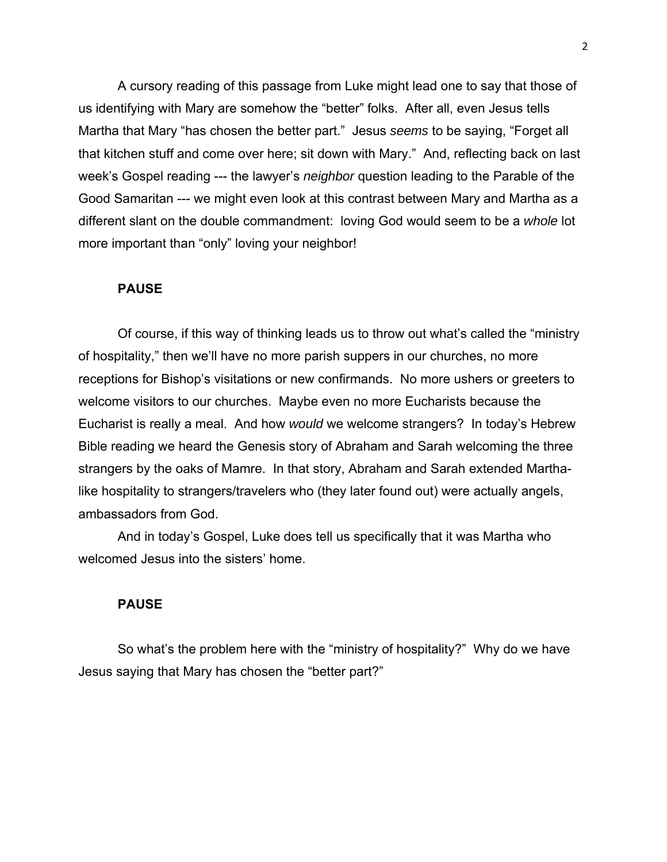A cursory reading of this passage from Luke might lead one to say that those of us identifying with Mary are somehow the "better" folks. After all, even Jesus tells Martha that Mary "has chosen the better part." Jesus *seems* to be saying, "Forget all that kitchen stuff and come over here; sit down with Mary." And, reflecting back on last week's Gospel reading --- the lawyer's *neighbor* question leading to the Parable of the Good Samaritan --- we might even look at this contrast between Mary and Martha as a different slant on the double commandment: loving God would seem to be a *whole* lot more important than "only" loving your neighbor!

#### **PAUSE**

Of course, if this way of thinking leads us to throw out what's called the "ministry of hospitality," then we'll have no more parish suppers in our churches, no more receptions for Bishop's visitations or new confirmands. No more ushers or greeters to welcome visitors to our churches. Maybe even no more Eucharists because the Eucharist is really a meal. And how *would* we welcome strangers? In today's Hebrew Bible reading we heard the Genesis story of Abraham and Sarah welcoming the three strangers by the oaks of Mamre. In that story, Abraham and Sarah extended Marthalike hospitality to strangers/travelers who (they later found out) were actually angels, ambassadors from God.

And in today's Gospel, Luke does tell us specifically that it was Martha who welcomed Jesus into the sisters' home.

# **PAUSE**

So what's the problem here with the "ministry of hospitality?" Why do we have Jesus saying that Mary has chosen the "better part?"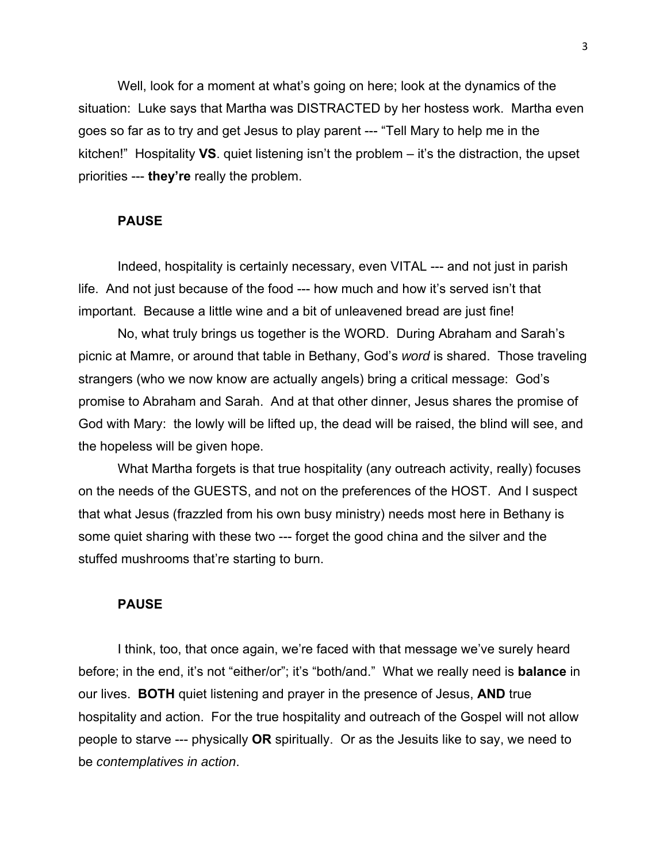Well, look for a moment at what's going on here; look at the dynamics of the situation: Luke says that Martha was DISTRACTED by her hostess work. Martha even goes so far as to try and get Jesus to play parent --- "Tell Mary to help me in the kitchen!" Hospitality **VS**. quiet listening isn't the problem – it's the distraction, the upset priorities --- **they're** really the problem.

## **PAUSE**

Indeed, hospitality is certainly necessary, even VITAL --- and not just in parish life. And not just because of the food --- how much and how it's served isn't that important. Because a little wine and a bit of unleavened bread are just fine!

No, what truly brings us together is the WORD. During Abraham and Sarah's picnic at Mamre, or around that table in Bethany, God's *word* is shared. Those traveling strangers (who we now know are actually angels) bring a critical message: God's promise to Abraham and Sarah. And at that other dinner, Jesus shares the promise of God with Mary: the lowly will be lifted up, the dead will be raised, the blind will see, and the hopeless will be given hope.

What Martha forgets is that true hospitality (any outreach activity, really) focuses on the needs of the GUESTS, and not on the preferences of the HOST. And I suspect that what Jesus (frazzled from his own busy ministry) needs most here in Bethany is some quiet sharing with these two --- forget the good china and the silver and the stuffed mushrooms that're starting to burn.

### **PAUSE**

I think, too, that once again, we're faced with that message we've surely heard before; in the end, it's not "either/or"; it's "both/and." What we really need is **balance** in our lives. **BOTH** quiet listening and prayer in the presence of Jesus, **AND** true hospitality and action. For the true hospitality and outreach of the Gospel will not allow people to starve --- physically **OR** spiritually. Or as the Jesuits like to say, we need to be *contemplatives in action*.